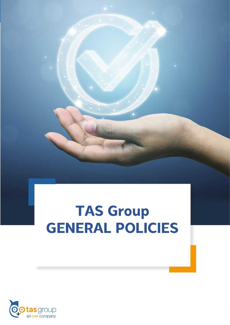# **TAS Group GENERAL POLICIES**

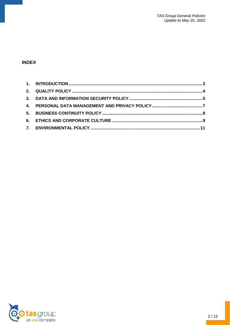# **INDEX**

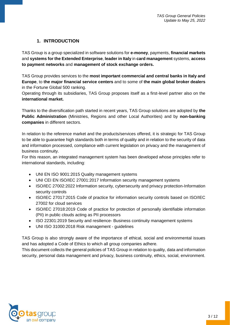#### **1. INTRODUCTION**

<span id="page-2-0"></span>TAS Group is a group specialized in software solutions for **e-money**, payments, **financial markets** and **systems for the Extended Enterprise**, **leader in Italy** in **card management** systems, **access to payment networks** and **management of stock exchange orders.**

TAS Group provides services to the **most important commercial and central banks in Italy and Europe**, to **the major financial service centers** and to some of **the main global broker dealers** in the Fortune Global 500 ranking.

Operating through its subsidiaries, TAS Group proposes itself as a first-level partner also on the **international market.**

Thanks to the diversification path started in recent years, TAS Group solutions are adopted by **the Public Administration** (Ministries, Regions and other Local Authorities) and by **non-banking companies** in different sectors.

In relation to the reference market and the products/services offered, it is strategic for TAS Group to be able to guarantee high standards both in terms of quality and in relation to the security of data and information processed, compliance with current legislation on privacy and the management of business continuity.

For this reason, an integrated management system has been developed whose principles refer to international standards, including:

- UNI EN ISO 9001:2015 Quality management systems
- UNI CEI EN ISO/IEC 27001:2017 Information security management systems
- ISO/IEC 27002:2022 Information security, cybersecurity and privacy protection-Information security controls
- ISO/IEC 27017:2015 Code of practice for information security controls based on ISO/IEC 27002 for cloud services
- ISO/IEC 27018:2019 Code of practice for protection of personally identifiable information (PII) in public clouds acting as PII processors
- ISO 22301:2019 Security and resilience- Business continuity management systems
- UNI ISO 31000:2018 Risk management guidelines

TAS Group is also strongly aware of the importance of ethical, social and environmental issues and has adopted a Code of Ethics to which all group companies adhere.

This document collects the general policies of TAS Group in relation to quality, data and information security, personal data management and privacy, business continuity, ethics, social, environment.

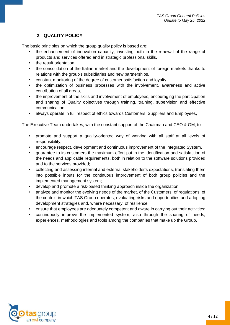## **2. QUALITY POLICY**

<span id="page-3-0"></span>The basic principles on which the group quality policy is based are:

- the enhancement of innovation capacity, investing both in the renewal of the range of products and services offered and in strategic professional skills,
- the result orientation.
- the consolidation of the Italian market and the development of foreign markets thanks to relations with the group's subsidiaries and new partnerships,
- constant monitoring of the degree of customer satisfaction and loyalty,
- the optimization of business processes with the involvement, awareness and active contribution of all areas,
- the improvement of the skills and involvement of employees, encouraging the participation and sharing of Quality objectives through training, training, supervision and effective communication,
- always operate in full respect of ethics towards Customers, Suppliers and Employees,

The Executive Team undertakes, with the constant support of the Chairman and CEO & GM, to:

- promote and support a quality-oriented way of working with all staff at all levels of responsibility,
- encourage respect, development and continuous improvement of the Integrated System.
- guarantee to its customers the maximum effort put in the identification and satisfaction of the needs and applicable requirements, both in relation to the software solutions provided and to the services provided;
- collecting and assessing internal and external stakeholder's expectations, translating them into possible inputs for the continuous improvement of both group policies and the implemented management system;
- develop and promote a risk-based thinking approach inside the organization;
- analyze and monitor the evolving needs of the market, of the Customers, of regulations, of the context in which TAS Group operates, evaluating risks and opportunities and adopting development strategies and, where necessary, of resilience;
- ensure that employees are adequately competent and aware in carrying out their activities;
- continuously improve the implemented system, also through the sharing of needs, experiences, methodologies and tools among the companies that make up the Group.

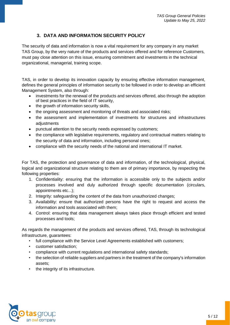#### **3. DATA AND INFORMATION SECURITY POLICY**

<span id="page-4-0"></span>The security of data and information is now a vital requirement for any company in any market TAS Group, by the very nature of the products and services offered and for reference Customers, must pay close attention on this issue, ensuring commitment and investments in the technical organizational, managerial, training scope.

TAS, in order to develop its innovation capacity by ensuring effective information management, defines the general principles of information security to be followed in order to develop an efficient Management System, also through:

- investments for the renewal of the products and services offered, also through the adoption of best practices in the field of IT security,
- the growth of information security skills,
- the ongoing assessment and monitoring of threats and associated risks;
- the assessment and implementation of investments for structures and infrastructures adiustments
- punctual attention to the security needs expressed by customers;
- the compliance with legislative requirements, regulatory and contractual matters relating to the security of data and information, including personal ones;
- compliance with the security needs of the national and international IT market.

For TAS, the protection and governance of data and information, of the technological, physical, logical and organizational structure relating to them are of primary importance, by respecting the following properties:

- 1. Confidentiality: ensuring that the information is accessible only to the subjects and/or processes involved and duly authorized through specific documentation (circulars, appointments etc...);
- 2. Integrity: safeguarding the content of the data from unauthorized changes;
- 3. Availability: ensure that authorized persons have the right to request and access the information and tools associated with them;
- 4. Control: ensuring that data management always takes place through efficient and tested processes and tools;

As regards the management of the products and services offered, TAS, through its technological infrastructure, guarantees:

- full compliance with the Service Level Agreements established with customers;
- customer satisfaction;
- compliance with current regulations and international safety standards;
- the selection of reliable suppliers and partners in the treatment of the company's information assets;
- the integrity of its infrastructure.

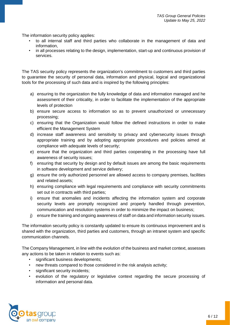The information security policy applies:

- to all internal staff and third parties who collaborate in the management of data and information,
- in all processes relating to the design, implementation, start-up and continuous provision of services.

The TAS security policy represents the organization's commitment to customers and third parties to guarantee the security of personal data, information and physical, logical and organizational tools for the processing of such data and is inspired by the following principles:

- a) ensuring to the organization the fully knowledge of data and information managed and he assessment of their criticality, in order to facilitate the implementation of the appropriate levels of protection
- b) ensure secure access to information so as to prevent unauthorized or unnecessary processing;
- c) ensuring that the Organization would follow the defined instructions in order to make efficient the Management System
- d) increase staff awareness and sensitivity to privacy and cybersecurity issues through appropriate training and by adopting appropriate procedures and policies aimed at compliance with adequate levels of security;
- e) ensure that the organization and third parties cooperating in the processing have full awareness of security issues;
- f) ensuring that security by design and by default issues are among the basic requirements in software development and service delivery;
- g) ensure the only authorized personnel are allowed access to company premises, facilities and related assets;
- h) ensuring compliance with legal requirements and compliance with security commitments set out in contracts with third parties;
- i) ensure that anomalies and incidents affecting the information system and corporate security levels are promptly recognized and properly handled through prevention, communication and resolution systems in order to minimize the impact on business;
- j) ensure the training and ongoing awareness of staff on data and information security issues.

The information security policy is constantly updated to ensure its continuous improvement and is shared with the organization, third parties and customers, through an intranet system and specific communication channels.

The Company Management, in line with the evolution of the business and market context, assesses any actions to be taken in relation to events such as:

- significant business developments;
- new threats compared to those considered in the risk analysis activity;
- significant security incidents;
- evolution of the regulatory or legislative context regarding the secure processing of information and personal data.

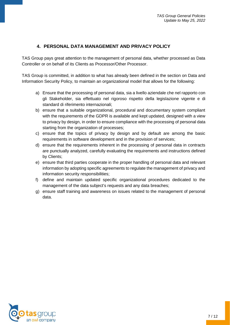# **4. PERSONAL DATA MANAGEMENT AND PRIVACY POLICY**

<span id="page-6-0"></span>TAS Group pays great attention to the management of personal data, whether processed as Data Controller or on behalf of its Clients as Processor/Other Processor.

TAS Group is committed, in addition to what has already been defined in the section on Data and Information Security Policy, to maintain an organizational model that allows for the following:

- a) Ensure that the processing of personal data, sia a livello aziendale che nel rapporto con gli Stakeholder, sia effettuato nel rigoroso rispetto della legislazione vigente e di standard di riferimento internazionali;
- b) ensure that a suitable organizational, procedural and documentary system compliant with the requirements of the GDPR is available and kept updated, designed with a view to privacy by design, in order to ensure compliance with the processing of personal data starting from the organization of processes;
- c) ensure that the topics of privacy by design and by default are among the basic requirements in software development and in the provision of services;
- d) ensure that the requirements inherent in the processing of personal data in contracts are punctually analyzed, carefully evaluating the requirements and instructions defined by Clients;
- e) ensure that third parties cooperate in the proper handling of personal data and relevant information by adopting specific agreements to regulate the management of privacy and information security responsibilities;
- f) define and maintain updated specific organizational procedures dedicated to the management of the data subject's requests and any data breaches;
- g) ensure staff training and awareness on issues related to the management of personal data.

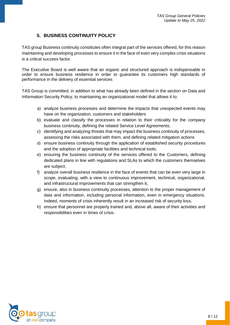#### **5. BUSINESS CONTINUITY POLICY**

<span id="page-7-0"></span>TAS group Business continuity constitutes often integral part of the services offered, for this reason maintaining and developing processes to ensure it in the face of even very complex crisis situations is a critical success factor.

The Executive Board is well aware that an organic and structured approach is indispensable in order to ensure business resilience in order to guarantee its customers high standards of performance in the delivery of essential services

TAS Group is committed, in addition to what has already been defined in the section on Data and Information Security Policy, to maintaining an organizational model that allows it to:

- a) analyze business processes and determine the impacts that unexpected events may have on the organization, customers and stakeholders
- b) evaluate and classify the processes in relation to their criticality for the company business continuity, defining the related Service Level Agreements;
- c) identifying and analyzing threats that may impact the business continuity of processes, assessing the risks associated with them, and defining related mitigation actions
- d) ensure business continuity through the application of established security procedures and the adoption of appropriate facilities and technical tools;
- e) ensuring the business continuity of the services offered to the Customers, defining dedicated plans in line with regulations and SLAs to which the customers themselves are subject;
- f) analyze overall business resilience in the face of events that can be even very large in scope, evaluating, with a view to continuous improvement, technical, organizational, and infrastructural improvements that can strengthen it;
- g) ensure, also in business continuity processes, attention to the proper management of data and information, including personal information, even in emergency situations. Indeed, moments of crisis inherently result in an increased risk of security loss;
- h) ensure that personnel are properly trained and, above all, aware of their activities and responsibilities even in times of crisis.



.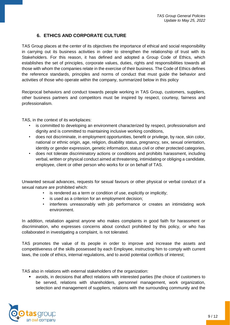#### **6. ETHICS AND CORPORATE CULTURE**

<span id="page-8-0"></span>TAS Group places at the center of its objectives the importance of ethical and social responsibility in carrying out its business activities in order to strengthen the relationship of trust with its Stakeholders. For this reason, it has defined and adopted a Group Code of Ethics, which establishes the set of principles, corporate values, duties, rights and responsibilities towards all those with whom the companies relate in the exercise of their business. The Code of Ethics defines the reference standards, principles and norms of conduct that must guide the behavior and activities of those who operate within the company, summarized below in this policy

Reciprocal behaviors and conduct towards people working in TAS Group, customers, suppliers, other business partners and competitors must be inspired by respect, courtesy, fairness and professionalism.

TAS, in the context of its workplaces:

- is committed to developing an environment characterized by respect, professionalism and dignity and is committed to maintaining inclusive working conditions,
- does not discriminate, in employment opportunities, benefit or privilege, by race, skin color, national or ethnic origin, age, religion, disability status, pregnancy, sex, sexual orientation, identity or gender expression, genetic information, status civil or other protected categories,
- does not tolerate discriminatory actions or conditions and prohibits harassment, including verbal, written or physical conduct aimed at threatening, intimidating or obliging a candidate, employee, client or other person who works for or on behalf of TAS.

Unwanted sexual advances, requests for sexual favours or other physical or verbal conduct of a sexual nature are prohibited which:

- is rendered as a term or condition of use, explicitly or implicitly;
- is used as a criterion for an employment decision;
- interferes unreasonably with job performance or creates an intimidating work environment.

In addition, retaliation against anyone who makes complaints in good faith for harassment or discrimination, who expresses concerns about conduct prohibited by this policy, or who has collaborated in investigating a complaint, is not tolerated.

TAS promotes the value of its people in order to improve and increase the assets and competitiveness of the skills possessed by each Employee, instructing him to comply with current laws, the code of ethics, internal regulations, and to avoid potential conflicts of interest;

TAS also in relations with external stakeholders of the organization:

avoids, in decisions that affect relations with interested parties (the choice of customers to be served, relations with shareholders, personnel management, work organization, selection and management of suppliers, relations with the surrounding community and the

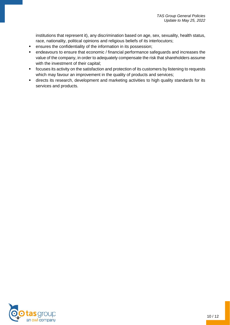institutions that represent it), any discrimination based on age, sex, sexuality, health status, race, nationality, political opinions and religious beliefs of its interlocutors;

- **•** ensures the confidentiality of the information in its possession;
- endeavours to ensure that economic / financial performance safeguards and increases the value of the company, in order to adequately compensate the risk that shareholders assume with the investment of their capital;
- focuses its activity on the satisfaction and protection of its customers by listening to requests which may favour an improvement in the quality of products and services;
- **■** directs its research, development and marketing activities to high quality standards for its services and products.

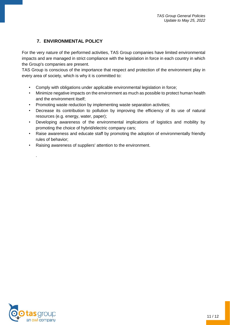# **7. ENVIRONMENTAL POLICY**

<span id="page-10-0"></span>For the very nature of the performed activities, TAS Group companies have limited environmental impacts and are managed in strict compliance with the legislation in force in each country in which the Group's companies are present.

TAS Group is conscious of the importance that respect and protection of the environment play in every area of society, which is why it is committed to:

- Comply with obligations under applicable environmental legislation in force;
- Minimize negative impacts on the environment as much as possible to protect human health and the environment itself;
- Promoting waste reduction by implementing waste separation activities;
- Decrease its contribution to pollution by improving the efficiency of its use of natural resources (e.g. energy, water, paper);
- Developing awareness of the environmental implications of logistics and mobility by promoting the choice of hybrid/electric company cars;
- Raise awareness and educate staff by promoting the adoption of environmentally friendly rules of behavior;
- Raising awareness of suppliers' attention to the environment.



.